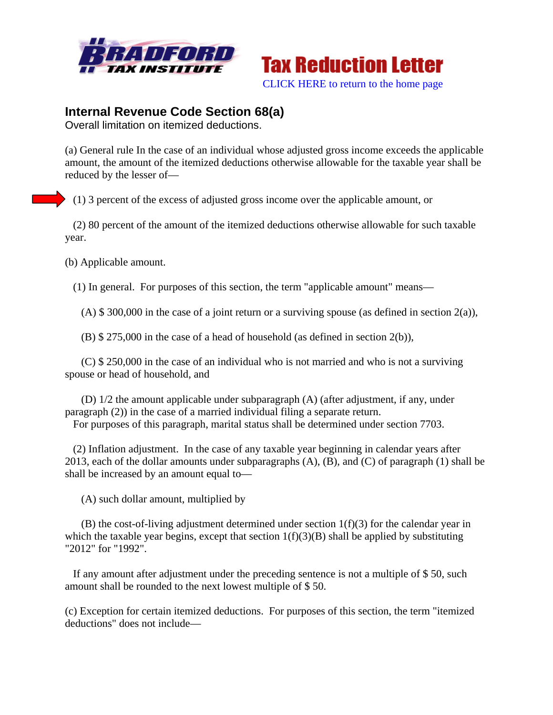



## **Internal Revenue Code Section 68(a)**

Overall limitation on itemized deductions.

(a) General rule In the case of an individual whose adjusted gross income exceeds the applicable amount, the amount of the itemized deductions otherwise allowable for the taxable year shall be reduced by the lesser of—

(1) 3 percent of the excess of adjusted gross income over the applicable amount, or

 (2) 80 percent of the amount of the itemized deductions otherwise allowable for such taxable year.

(b) Applicable amount.

(1) In general. For purposes of this section, the term "applicable amount" means—

(A)  $$300,000$  in the case of a joint return or a surviving spouse (as defined in section 2(a)),

(B) \$ 275,000 in the case of a head of household (as defined in section 2(b)),

 (C) \$ 250,000 in the case of an individual who is not married and who is not a surviving spouse or head of household, and

 (D) 1/2 the amount applicable under subparagraph (A) (after adjustment, if any, under paragraph (2)) in the case of a married individual filing a separate return.

For purposes of this paragraph, marital status shall be determined under section 7703.

 (2) Inflation adjustment. In the case of any taxable year beginning in calendar years after 2013, each of the dollar amounts under subparagraphs  $(A)$ ,  $(B)$ , and  $(C)$  of paragraph  $(1)$  shall be shall be increased by an amount equal to—

(A) such dollar amount, multiplied by

 $(B)$  the cost-of-living adjustment determined under section  $1(f)(3)$  for the calendar year in which the taxable year begins, except that section  $1(f)(3)(B)$  shall be applied by substituting "2012" for "1992".

 If any amount after adjustment under the preceding sentence is not a multiple of \$ 50, such amount shall be rounded to the next lowest multiple of \$ 50.

(c) Exception for certain itemized deductions. For purposes of this section, the term "itemized deductions" does not include